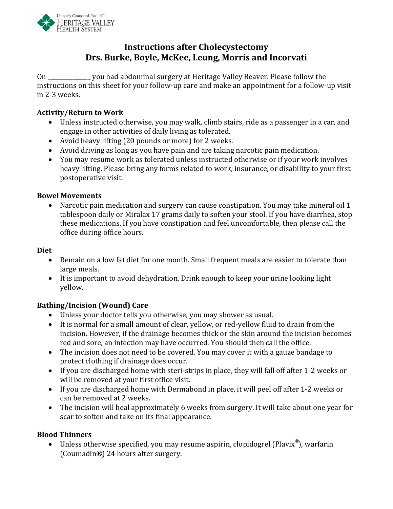

### **Instructions after Cholecystectomy Drs. Burke, Boyle, McKee, Leung, Morris and Incorvati**

On \_\_\_\_\_\_\_\_\_\_\_\_\_\_\_ you had abdominal surgery at Heritage Valley Beaver. Please follow the instructions on this sheet for your follow-up care and make an appointment for a follow-up visit in 2-3 weeks.

#### **Activity/Return to Work**

- Unless instructed otherwise, you may walk, climb stairs, ride as a passenger in a car, and engage in other activities of daily living as tolerated.
- Avoid heavy lifting (20 pounds or more) for 2 weeks.
- Avoid driving as long as you have pain and are taking narcotic pain medication.
- You may resume work as tolerated unless instructed otherwise or if your work involves heavy lifting. Please bring any forms related to work, insurance, or disability to your first postoperative visit.

#### **Bowel Movements**

• Narcotic pain medication and surgery can cause constipation. You may take mineral oil 1 tablespoon daily or Miralax 17 grams daily to soften your stool. If you have diarrhea, stop these medications. If you have constipation and feel uncomfortable, then please call the office during office hours.

#### **Diet**

- Remain on a low fat diet for one month. Small frequent meals are easier to tolerate than large meals.
- It is important to avoid dehydration. Drink enough to keep your urine looking light yellow.

#### **Bathing/Incision (Wound) Care**

- Unless your doctor tells you otherwise, you may shower as usual.
- It is normal for a small amount of clear, yellow, or red-yellow fluid to drain from the incision. However, if the drainage becomes thick or the skin around the incision becomes red and sore, an infection may have occurred. You should then call the office.
- The incision does not need to be covered. You may cover it with a gauze bandage to protect clothing if drainage does occur.
- If you are discharged home with steri-strips in place, they will fall off after 1-2 weeks or will be removed at your first office visit.
- If you are discharged home with Dermabond in place, it will peel off after 1-2 weeks or can be removed at 2 weeks.
- The incision will heal approximately 6 weeks from surgery. It will take about one year for scar to soften and take on its final appearance.

#### **Blood Thinners**

• Unless otherwise specified, you may resume aspirin, clopidogrel (Plavix**®**), warfarin (Coumadin**®**) 24 hours after surgery.